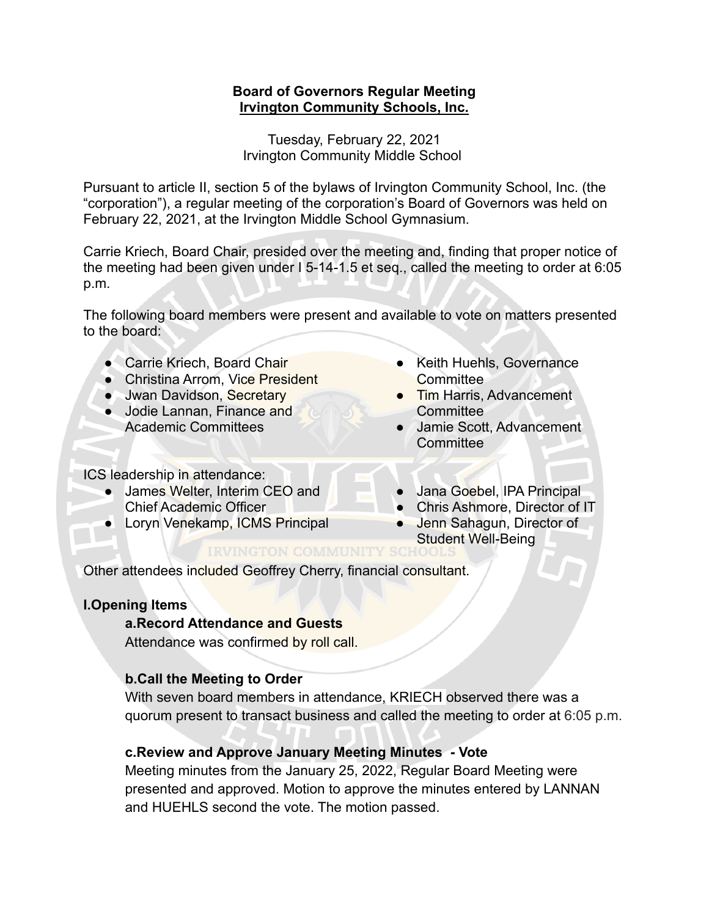## **Board of Governors Regular Meeting Irvington Community Schools, Inc.**

Tuesday, February 22, 2021 Irvington Community Middle School

Pursuant to article II, section 5 of the bylaws of Irvington Community School, Inc. (the "corporation"), a regular meeting of the corporation's Board of Governors was held on February 22, 2021, at the Irvington Middle School Gymnasium.

Carrie Kriech, Board Chair, presided over the meeting and, finding that proper notice of the meeting had been given under I 5-14-1.5 et seq., called the meeting to order at 6:05 p.m.

The following board members were present and available to vote on matters presented to the board:

- Carrie Kriech, Board Chair
- Christina Arrom, Vice President
- Jwan Davidson, Secretary
- Jodie Lannan, Finance and Academic Committees

ICS leadership in attendance:

- James Welter, Interim CEO and Chief Academic Officer
- Loryn Venekamp, ICMS Principal
- Keith Huehls, Governance **Committee**
- **Tim Harris, Advancement Committee**
- Jamie Scott, Advancement **Committee**
- Jana Goebel, IPA Principal
- Chris Ashmore, Director of IT
- Jenn Sahagun, Director of Student Well-Being<br>IRVINGTON COMMUNITY SCHOOLS

Other attendees included Geoffrey Cherry, financial consultant.

# **I.Opening Items**

# **a.Record Attendance and Guests**

Attendance was confirmed by roll call.

# **b.Call the Meeting to Order**

With seven board members in attendance, KRIECH observed there was a quorum present to transact business and called the meeting to order at 6:05 p.m.

# **c.Review and Approve January Meeting Minutes - Vote**

Meeting minutes from the January 25, 2022, Regular Board Meeting were presented and approved. Motion to approve the minutes entered by LANNAN and HUEHLS second the vote. The motion passed.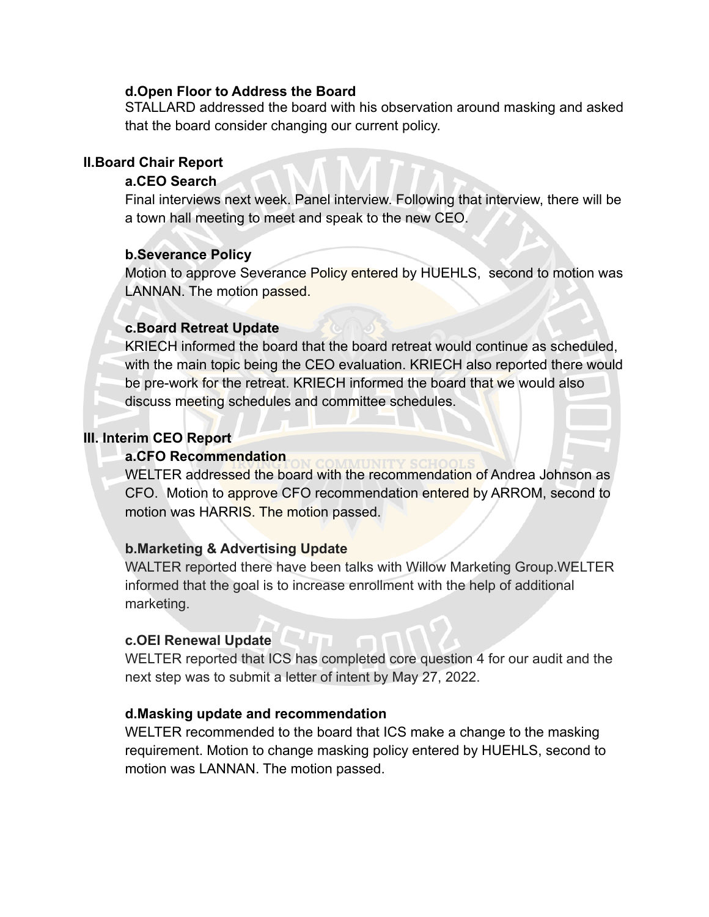#### **d.Open Floor to Address the Board**

STALLARD addressed the board with his observation around masking and asked that the board consider changing our current policy.

## **II.Board Chair Report**

### **a.CEO Search**

Final interviews next week. Panel interview. Following that interview, there will be a town hall meeting to meet and speak to the new CEO.

### **b.Severance Policy**

Motion to approve Severance Policy entered by HUEHLS, second to motion was LANNAN. The motion passed.

#### **c.Board Retreat Update**

KRIECH informed the board that the board retreat would continue as scheduled, with the main topic being the CEO evaluation. KRIECH also reported there would be pre-work for the retreat. KRIECH informed the board that we would also discuss meeting schedules and committee schedules.

#### **III. Interim CEO Report**

#### **a.CFO Recommendation**

WELTER addressed the board with the recommendation of Andrea Johnson as CFO. Motion to approve CFO recommendation entered by ARROM, second to motion was HARRIS. The motion passed.

#### **b.Marketing & Advertising Update**

WALTER reported there have been talks with Willow Marketing Group.WELTER informed that the goal is to increase enrollment with the help of additional marketing.

#### **c.OEI Renewal Update**

WELTER reported that ICS has completed core question 4 for our audit and the next step was to submit a letter of intent by May 27, 2022.

#### **d.Masking update and recommendation**

WELTER recommended to the board that ICS make a change to the masking requirement. Motion to change masking policy entered by HUEHLS, second to motion was LANNAN. The motion passed.